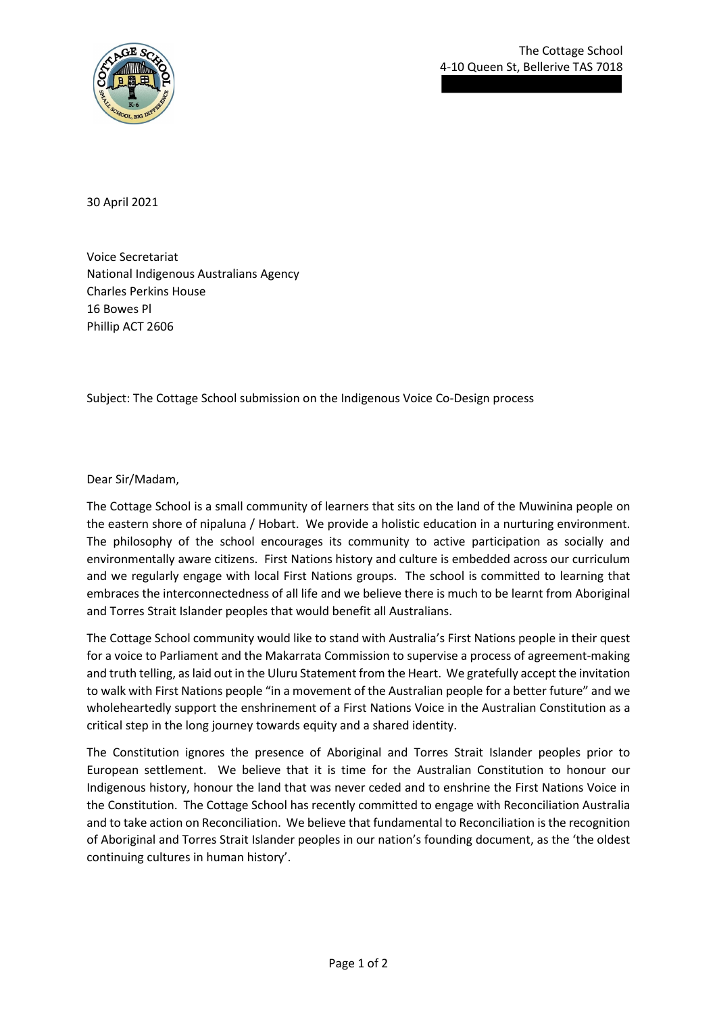30 April 2021

Voice Secretariat National Indigenous Australians Agency Charles Perkins House 16 Bowes Pl Phillip ACT 2606

Subject: The Cottage School submission on the Indigenous Voice Co-Design process

Dear Sir/Madam,

The Cottage School is a small community of learners that sits on the land of the Muwinina people on the eastern shore of nipaluna / Hobart. We provide a holistic education in a nurturing environment. The philosophy of the school encourages its community to active participation as socially and environmentally aware citizens. First Nations history and culture is embedded across our curriculum and we regularly engage with local First Nations groups. The school is committed to learning that embraces the interconnectedness of all life and we believe there is much to be learnt from Aboriginal and Torres Strait Islander peoples that would benefit all Australians.

The Cottage School community would like to stand with Australia's First Nations people in their quest for a voice to Parliament and the Makarrata Commission to supervise a process of agreement-making and truth telling, as laid out in the Uluru Statement from the Heart. We gratefully accept the invitation to walk with First Nations people "in a movement of the Australian people for a better future" and we wholeheartedly support the enshrinement of a First Nations Voice in the Australian Constitution as a critical step in the long journey towards equity and a shared identity.

The Constitution ignores the presence of Aboriginal and Torres Strait Islander peoples prior to European settlement. We believe that it is time for the Australian Constitution to honour our Indigenous history, honour the land that was never ceded and to enshrine the First Nations Voice in the Constitution. The Cottage School has recently committed to engage with Reconciliation Australia and to take action on Reconciliation. We believe that fundamental to Reconciliation is the recognition of Aboriginal and Torres Strait Islander peoples in our nation's founding document, as the 'the oldest continuing cultures in human history'.